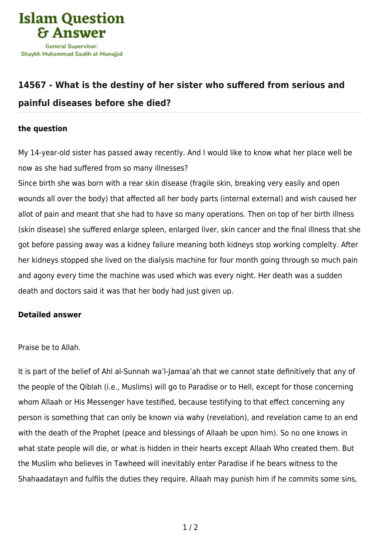

## **[14567 - What is the destiny of her sister who suffered from serious and](https://islamqa.com/en/answers/14567/what-is-the-destiny-of-her-sister-who-suffered-from-serious-and-painful-diseases-before-she-died) [painful diseases before she died?](https://islamqa.com/en/answers/14567/what-is-the-destiny-of-her-sister-who-suffered-from-serious-and-painful-diseases-before-she-died)**

## **the question**

My 14-year-old sister has passed away recently. And I would like to know what her place well be now as she had suffered from so many illnesses?

Since birth she was born with a rear skin disease (fragile skin, breaking very easily and open wounds all over the body) that affected all her body parts (internal external) and wish caused her allot of pain and meant that she had to have so many operations. Then on top of her birth illness (skin disease) she suffered enlarge spleen, enlarged liver, skin cancer and the final illness that she got before passing away was a kidney failure meaning both kidneys stop working complelty. After her kidneys stopped she lived on the dialysis machine for four month going through so much pain and agony every time the machine was used which was every night. Her death was a sudden death and doctors said it was that her body had just given up.

## **Detailed answer**

Praise be to Allah.

It is part of the belief of Ahl al-Sunnah wa'l-Jamaa'ah that we cannot state definitively that any of the people of the Qiblah (i.e., Muslims) will go to Paradise or to Hell, except for those concerning whom Allaah or His Messenger have testified, because testifying to that effect concerning any person is something that can only be known via wahy (revelation), and revelation came to an end with the death of the Prophet (peace and blessings of Allaah be upon him). So no one knows in what state people will die, or what is hidden in their hearts except Allaah Who created them. But the Muslim who believes in Tawheed will inevitably enter Paradise if he bears witness to the Shahaadatayn and fulfils the duties they require. Allaah may punish him if he commits some sins,